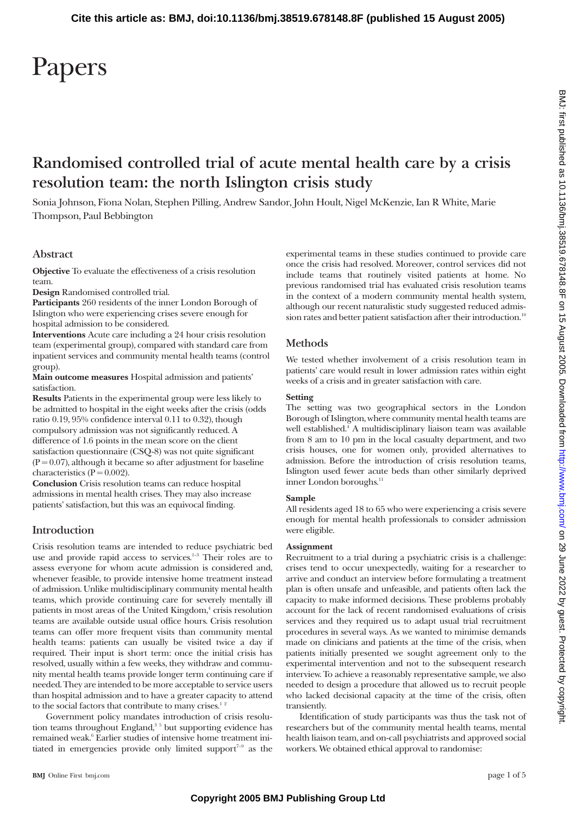# Papers

# **Randomised controlled trial of acute mental health care by a crisis resolution team: the north Islington crisis study**

Sonia Johnson, Fiona Nolan, Stephen Pilling, Andrew Sandor, John Hoult, Nigel McKenzie, Ian R White, Marie Thompson, Paul Bebbington

#### **Abstract**

**Objective** To evaluate the effectiveness of a crisis resolution team.

**Design** Randomised controlled trial.

**Participants** 260 residents of the inner London Borough of Islington who were experiencing crises severe enough for hospital admission to be considered.

**Interventions** Acute care including a 24 hour crisis resolution team (experimental group), compared with standard care from inpatient services and community mental health teams (control group).

**Main outcome measures** Hospital admission and patients' satisfaction.

**Results** Patients in the experimental group were less likely to be admitted to hospital in the eight weeks after the crisis (odds ratio 0.19, 95% confidence interval 0.11 to 0.32), though compulsory admission was not significantly reduced. A difference of 1.6 points in the mean score on the client satisfaction questionnaire (CSQ-8) was not quite significant  $(P = 0.07)$ , although it became so after adjustment for baseline characteristics  $(P = 0.002)$ .

**Conclusion** Crisis resolution teams can reduce hospital admissions in mental health crises. They may also increase patients' satisfaction, but this was an equivocal finding.

# **Introduction**

Crisis resolution teams are intended to reduce psychiatric bed use and provide rapid access to services. $1-3$  Their roles are to assess everyone for whom acute admission is considered and, whenever feasible, to provide intensive home treatment instead of admission. Unlike multidisciplinary community mental health teams, which provide continuing care for severely mentally ill patients in most areas of the United Kingdom,<sup>4</sup> crisis resolution teams are available outside usual office hours. Crisis resolution teams can offer more frequent visits than community mental health teams: patients can usually be visited twice a day if required. Their input is short term: once the initial crisis has resolved, usually within a few weeks, they withdraw and community mental health teams provide longer term continuing care if needed. They are intended to be more acceptable to service users than hospital admission and to have a greater capacity to attend to the social factors that contribute to many crises. $12$ 

Government policy mandates introduction of crisis resolution teams throughout England, $35$  but supporting evidence has remained weak.<sup>6</sup> Earlier studies of intensive home treatment initiated in emergencies provide only limited support<sup> $7-9$ </sup> as the

experimental teams in these studies continued to provide care once the crisis had resolved. Moreover, control services did not include teams that routinely visited patients at home. No previous randomised trial has evaluated crisis resolution teams in the context of a modern community mental health system, although our recent naturalistic study suggested reduced admission rates and better patient satisfaction after their introduction.<sup>10</sup>

### **Methods**

We tested whether involvement of a crisis resolution team in patients' care would result in lower admission rates within eight weeks of a crisis and in greater satisfaction with care.

#### **Setting**

The setting was two geographical sectors in the London Borough of Islington, where community mental health teams are well established.<sup>4</sup> A multidisciplinary liaison team was available from 8 am to 10 pm in the local casualty department, and two crisis houses, one for women only, provided alternatives to admission. Before the introduction of crisis resolution teams, Islington used fewer acute beds than other similarly deprived inner London boroughs.<sup>11</sup>

#### **Sample**

All residents aged 18 to 65 who were experiencing a crisis severe enough for mental health professionals to consider admission were eligible.

#### **Assignment**

Recruitment to a trial during a psychiatric crisis is a challenge: crises tend to occur unexpectedly, waiting for a researcher to arrive and conduct an interview before formulating a treatment plan is often unsafe and unfeasible, and patients often lack the capacity to make informed decisions. These problems probably account for the lack of recent randomised evaluations of crisis services and they required us to adapt usual trial recruitment procedures in several ways. As we wanted to minimise demands made on clinicians and patients at the time of the crisis, when patients initially presented we sought agreement only to the experimental intervention and not to the subsequent research interview. To achieve a reasonably representative sample, we also needed to design a procedure that allowed us to recruit people who lacked decisional capacity at the time of the crisis, often transiently.

Identification of study participants was thus the task not of researchers but of the community mental health teams, mental health liaison team, and on-call psychiatrists and approved social workers. We obtained ethical approval to randomise: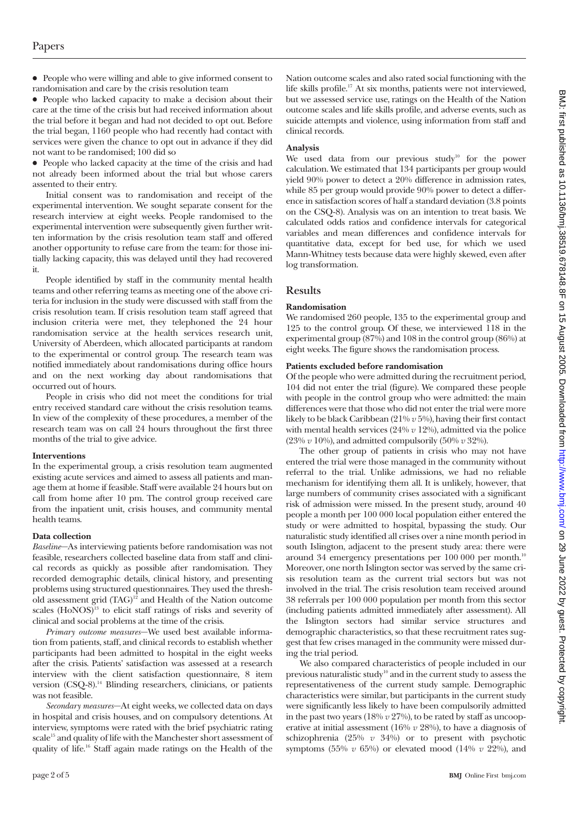• People who were willing and able to give informed consent to randomisation and care by the crisis resolution team

• People who lacked capacity to make a decision about their care at the time of the crisis but had received information about the trial before it began and had not decided to opt out. Before the trial began, 1160 people who had recently had contact with services were given the chance to opt out in advance if they did not want to be randomised; 100 did so

• People who lacked capacity at the time of the crisis and had not already been informed about the trial but whose carers assented to their entry.

Initial consent was to randomisation and receipt of the experimental intervention. We sought separate consent for the research interview at eight weeks. People randomised to the experimental intervention were subsequently given further written information by the crisis resolution team staff and offered another opportunity to refuse care from the team: for those initially lacking capacity, this was delayed until they had recovered it.

People identified by staff in the community mental health teams and other referring teams as meeting one of the above criteria for inclusion in the study were discussed with staff from the crisis resolution team. If crisis resolution team staff agreed that inclusion criteria were met, they telephoned the 24 hour randomisation service at the health services research unit, University of Aberdeen, which allocated participants at random to the experimental or control group. The research team was notified immediately about randomisations during office hours and on the next working day about randomisations that occurred out of hours.

People in crisis who did not meet the conditions for trial entry received standard care without the crisis resolution teams. In view of the complexity of these procedures, a member of the research team was on call 24 hours throughout the first three months of the trial to give advice.

#### **Interventions**

In the experimental group, a crisis resolution team augmented existing acute services and aimed to assess all patients and manage them at home if feasible. Staff were available 24 hours but on call from home after 10 pm. The control group received care from the inpatient unit, crisis houses, and community mental health teams.

#### **Data collection**

*Baseline*—As interviewing patients before randomisation was not feasible, researchers collected baseline data from staff and clinical records as quickly as possible after randomisation. They recorded demographic details, clinical history, and presenting problems using structured questionnaires. They used the threshold assessment grid  $(TAG)^{12}$  and Health of the Nation outcome scales  $(HoNOS)^{13}$  to elicit staff ratings of risks and severity of clinical and social problems at the time of the crisis.

*Primary outcome measures*—We used best available information from patients, staff, and clinical records to establish whether participants had been admitted to hospital in the eight weeks after the crisis. Patients' satisfaction was assessed at a research interview with the client satisfaction questionnaire, 8 item version (CSQ-8).<sup>14</sup> Blinding researchers, clinicians, or patients was not feasible.

*Secondary measures*—At eight weeks, we collected data on days in hospital and crisis houses, and on compulsory detentions. At interview, symptoms were rated with the brief psychiatric rating scale<sup>15</sup> and quality of life with the Manchester short assessment of quality of life.16 Staff again made ratings on the Health of the

Nation outcome scales and also rated social functioning with the life skills profile.<sup>17</sup> At six months, patients were not interviewed, but we assessed service use, ratings on the Health of the Nation outcome scales and life skills profile, and adverse events, such as suicide attempts and violence, using information from staff and clinical records.

#### **Analysis**

We used data from our previous study<sup>10</sup> for the power calculation. We estimated that 134 participants per group would yield 90% power to detect a 20% difference in admission rates, while 85 per group would provide 90% power to detect a difference in satisfaction scores of half a standard deviation (3.8 points on the CSQ-8). Analysis was on an intention to treat basis. We calculated odds ratios and confidence intervals for categorical variables and mean differences and confidence intervals for quantitative data, except for bed use, for which we used Mann-Whitney tests because data were highly skewed, even after log transformation.

#### **Results**

#### **Randomisation**

We randomised 260 people, 135 to the experimental group and 125 to the control group. Of these, we interviewed 118 in the experimental group (87%) and 108 in the control group (86%) at eight weeks. The figure shows the randomisation process.

#### **Patients excluded before randomisation**

Of the people who were admitted during the recruitment period, 104 did not enter the trial (figure). We compared these people with people in the control group who were admitted: the main differences were that those who did not enter the trial were more likely to be black Caribbean (21% *v* 5%), having their first contact with mental health services (24% *v* 12%), admitted via the police  $(23\% \text{ v } 10\%)$ , and admitted compulsorily  $(50\% \text{ v } 32\%)$ .

The other group of patients in crisis who may not have entered the trial were those managed in the community without referral to the trial. Unlike admissions, we had no reliable mechanism for identifying them all. It is unlikely, however, that large numbers of community crises associated with a significant risk of admission were missed. In the present study, around 40 people a month per 100 000 local population either entered the study or were admitted to hospital, bypassing the study. Our naturalistic study identified all crises over a nine month period in south Islington, adjacent to the present study area: there were around 34 emergency presentations per  $100000$  per month.<sup>10</sup> Moreover, one north Islington sector was served by the same crisis resolution team as the current trial sectors but was not involved in the trial. The crisis resolution team received around 38 referrals per 100 000 population per month from this sector (including patients admitted immediately after assessment). All the Islington sectors had similar service structures and demographic characteristics, so that these recruitment rates suggest that few crises managed in the community were missed during the trial period.

We also compared characteristics of people included in our previous naturalistic study<sup>10</sup> and in the current study to assess the representativeness of the current study sample. Demographic characteristics were similar, but participants in the current study were significantly less likely to have been compulsorily admitted in the past two years  $(18\% v 27\%)$ , to be rated by staff as uncooperative at initial assessment (16% *v* 28%), to have a diagnosis of schizophrenia (25% *v* 34%) or to present with psychotic symptoms (55%  $v$  65%) or elevated mood (14%  $v$  22%), and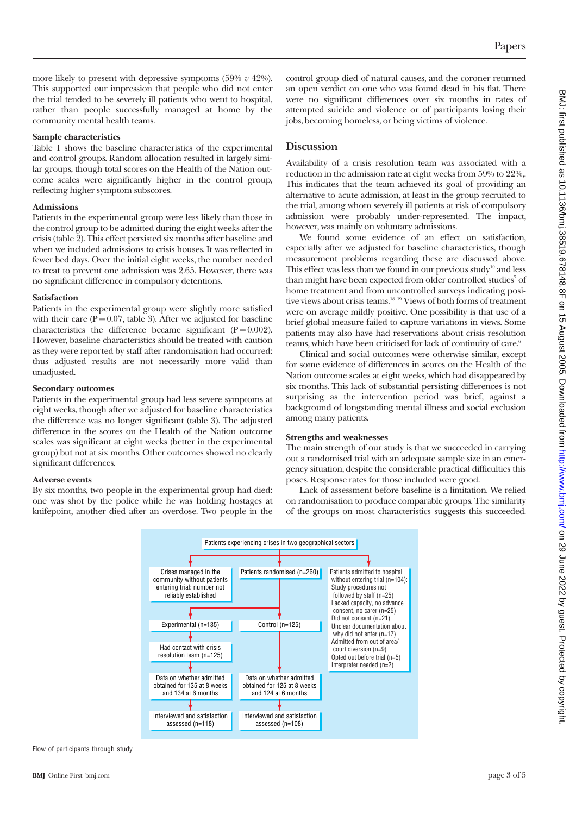more likely to present with depressive symptoms (59% *v* 42%). This supported our impression that people who did not enter the trial tended to be severely ill patients who went to hospital, rather than people successfully managed at home by the community mental health teams.

#### **Sample characteristics**

Table 1 shows the baseline characteristics of the experimental and control groups. Random allocation resulted in largely similar groups, though total scores on the Health of the Nation outcome scales were significantly higher in the control group, reflecting higher symptom subscores.

#### **Admissions**

Patients in the experimental group were less likely than those in the control group to be admitted during the eight weeks after the crisis (table 2). This effect persisted six months after baseline and when we included admissions to crisis houses. It was reflected in fewer bed days. Over the initial eight weeks, the number needed to treat to prevent one admission was 2.65. However, there was no significant difference in compulsory detentions.

#### **Satisfaction**

Patients in the experimental group were slightly more satisfied with their care ( $P = 0.07$ , table 3). After we adjusted for baseline characteristics the difference became significant ( $P = 0.002$ ). However, baseline characteristics should be treated with caution as they were reported by staff after randomisation had occurred: thus adjusted results are not necessarily more valid than unadjusted.

#### **Secondary outcomes**

Patients in the experimental group had less severe symptoms at eight weeks, though after we adjusted for baseline characteristics the difference was no longer significant (table 3). The adjusted difference in the scores on the Health of the Nation outcome scales was significant at eight weeks (better in the experimental group) but not at six months. Other outcomes showed no clearly significant differences.

#### **Adverse events**

By six months, two people in the experimental group had died: one was shot by the police while he was holding hostages at knifepoint, another died after an overdose. Two people in the

control group died of natural causes, and the coroner returned an open verdict on one who was found dead in his flat. There were no significant differences over six months in rates of attempted suicide and violence or of participants losing their jobs, becoming homeless, or being victims of violence.

## **Discussion**

Availability of a crisis resolution team was associated with a reduction in the admission rate at eight weeks from 59% to 22%,. This indicates that the team achieved its goal of providing an alternative to acute admission, at least in the group recruited to the trial, among whom severely ill patients at risk of compulsory admission were probably under-represented. The impact, however, was mainly on voluntary admissions.

We found some evidence of an effect on satisfaction, especially after we adjusted for baseline characteristics, though measurement problems regarding these are discussed above. This effect was less than we found in our previous study<sup>10</sup> and less than might have been expected from older controlled studies<sup>7</sup> of home treatment and from uncontrolled surveys indicating positive views about crisis teams.<sup>18 19</sup> Views of both forms of treatment were on average mildly positive. One possibility is that use of a brief global measure failed to capture variations in views. Some patients may also have had reservations about crisis resolution teams, which have been criticised for lack of continuity of care.<sup>6</sup>

Clinical and social outcomes were otherwise similar, except for some evidence of differences in scores on the Health of the Nation outcome scales at eight weeks, which had disappeared by six months. This lack of substantial persisting differences is not surprising as the intervention period was brief, against a background of longstanding mental illness and social exclusion among many patients.

#### **Strengths and weaknesses**

The main strength of our study is that we succeeded in carrying out a randomised trial with an adequate sample size in an emergency situation, despite the considerable practical difficulties this poses. Response rates for those included were good.

Lack of assessment before baseline is a limitation. We relied on randomisation to produce comparable groups. The similarity of the groups on most characteristics suggests this succeeded.

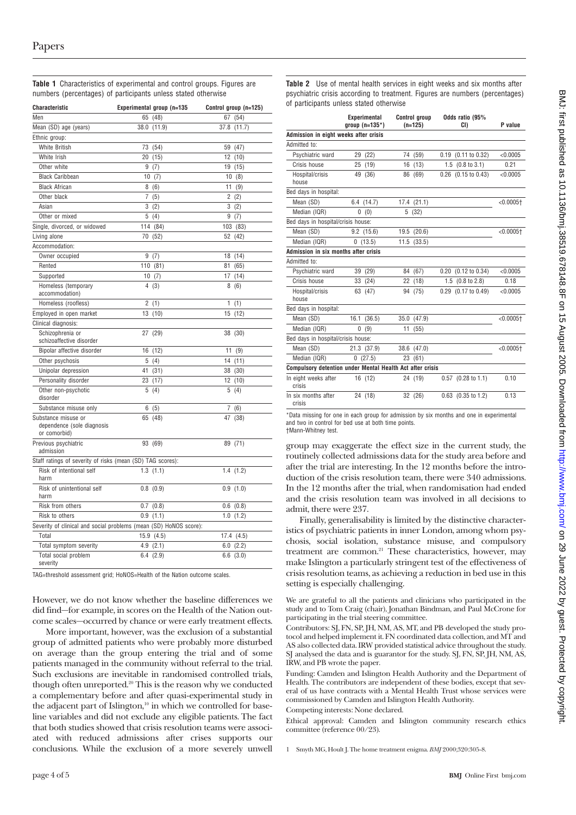|  | <b>Table 1</b> Characteristics of experimental and control groups. Figures are |  |
|--|--------------------------------------------------------------------------------|--|
|  | numbers (percentages) of participants unless stated otherwise                  |  |

| Characteristic                                                    |   | Experimental group (n=135 |        | Control group (n=125) |
|-------------------------------------------------------------------|---|---------------------------|--------|-----------------------|
| Men                                                               |   | 65 (48)                   |        | 67 (54)               |
| Mean (SD) age (years)                                             |   | 38.0 (11.9)               |        | 37.8 (11.7)           |
| Ethnic group:                                                     |   |                           |        |                       |
| White British                                                     |   | 73 (54)                   |        | 59 (47)               |
| White Irish                                                       |   | 20 (15)                   |        | 12(10)                |
| Other white                                                       |   | 9(7)                      |        | 19 (15)               |
| <b>Black Caribbean</b>                                            |   | 10(7)                     |        | 10(8)                 |
| <b>Black African</b>                                              | 8 | (6)                       | $11 -$ | (9)                   |
| Other black                                                       |   | 7(5)                      |        | 2(2)                  |
| Asian                                                             | 3 | (2)                       |        | 3(2)                  |
| Other or mixed                                                    |   | 5(4)                      |        | 9(7)                  |
| Single, divorced, or widowed                                      |   | 114 (84)                  |        | 103 (83)              |
| Living alone                                                      |   | 70 (52)                   |        | 52 (42)               |
| Accommodation:                                                    |   |                           |        |                       |
| Owner occupied                                                    |   | 9 (7)                     |        | 18 (14)               |
| Rented                                                            |   | 110 (81)                  |        | 81 (65)               |
| Supported                                                         |   | 10(7)                     | 17     | (14)                  |
| Homeless (temporary<br>accommodation)                             |   | 4(3)                      |        | 8(6)                  |
| Homeless (roofless)                                               | 2 | (1)                       | 1      | (1)                   |
| Employed in open market                                           |   | 13 (10)                   | 15     | (12)                  |
| Clinical diagnosis:                                               |   |                           |        |                       |
| Schizophrenia or<br>schizoaffective disorder                      |   | 27 (29)                   |        | 38 (30)               |
| Bipolar affective disorder                                        |   | 16 (12)                   | 11     | (9)                   |
| Other psychosis                                                   |   | 5(4)                      |        | 14 (11)               |
| Unipolar depression                                               |   | 41 (31)                   |        | 38 (30)               |
| Personality disorder                                              |   | 23 (17)                   |        | 12 (10)               |
| Other non-psychotic<br>disorder                                   |   | 5(4)                      |        | 5(4)                  |
| Substance misuse only                                             |   | 6(5)                      |        | 7(6)                  |
| Substance misuse or<br>dependence (sole diagnosis<br>or comorbid) |   | 65 (48)                   |        | 47 (38)               |
| Previous psychiatric<br>admission                                 |   | 93 (69)                   |        | 89 (71)               |
| Staff ratings of severity of risks (mean (SD) TAG scores):        |   |                           |        |                       |
| Risk of intentional self<br>harm                                  |   | 1.3(1.1)                  |        | 1.4(1.2)              |
| Risk of unintentional self<br>harm                                |   | $0.8$ $(0.9)$             |        | 0.9(1.0)              |
| Risk from others                                                  |   | 0.7(0.8)                  |        | $0.6$ $(0.8)$         |
| Risk to others                                                    |   | 0.9(1.1)                  |        | 1.0(1.2)              |
| Severity of clinical and social problems (mean (SD) HoNOS score): |   |                           |        |                       |
| Total                                                             |   | 15.9 (4.5)                |        | 17.4 (4.5)            |
| Total symptom severity                                            |   | $4.9$ $(2.1)$             |        | 6.0(2.2)              |
| Total social problem<br>severity                                  |   | 6.4(2.9)                  |        | 6.6(3.0)              |

TAG=threshold assessment grid; HoNOS=Health of the Nation outcome scales.

However, we do not know whether the baseline differences we did find—for example, in scores on the Health of the Nation outcome scales—occurred by chance or were early treatment effects.

More important, however, was the exclusion of a substantial group of admitted patients who were probably more disturbed on average than the group entering the trial and of some patients managed in the community without referral to the trial. Such exclusions are inevitable in randomised controlled trials, though often unreported.<sup>20</sup> This is the reason why we conducted a complementary before and after quasi-experimental study in the adjacent part of Islington, $10$  in which we controlled for baseline variables and did not exclude any eligible patients. The fact that both studies showed that crisis resolution teams were associated with reduced admissions after crises supports our conclusions. While the exclusion of a more severely unwell **Table 2** Use of mental health services in eight weeks and six months after psychiatric crisis according to treatment. Figures are numbers (percentages) of participants unless stated otherwise

|                                                           | <b>Experimental</b><br>group $(n=135^*)$ | <b>Control group</b><br>$(n=125)$ | Odds ratio (95%<br>CI)            | P value                 |
|-----------------------------------------------------------|------------------------------------------|-----------------------------------|-----------------------------------|-------------------------|
| Admission in eight weeks after crisis                     |                                          |                                   |                                   |                         |
| Admitted to:                                              |                                          |                                   |                                   |                         |
| Psychiatric ward                                          | 29 (22)                                  | 74 (59)                           | 0.19 (0.11 to 0.32)               | < 0.0005                |
| Crisis house                                              | (19)<br>25                               | (13)<br>16                        | $1.5$ (0.8 to 3.1)                | 0.21                    |
| Hospital/crisis<br>house                                  | 49 (36)                                  | 86 (69)                           | 0.26 (0.15 to 0.43)               | < 0.0005                |
| Bed days in hospital:                                     |                                          |                                   |                                   |                         |
| Mean (SD)                                                 | 6.4 (14.7)                               | 17.4<br>(21.1)                    |                                   | $< 0.0005$ <sup>+</sup> |
| Median (IQR)                                              | (0)<br>0                                 | (32)<br>5                         |                                   |                         |
| Bed days in hospital/crisis house:                        |                                          |                                   |                                   |                         |
| Mean (SD)                                                 | $9.2$ (15.6)                             | 19.5<br>(20.6)                    |                                   | $< 0.0005$ <sup>+</sup> |
| Median (IQR)                                              | 0(13.5)                                  | 11.5(33.5)                        |                                   |                         |
| Admission in six months after crisis                      |                                          |                                   |                                   |                         |
| Admitted to:                                              |                                          |                                   |                                   |                         |
| Psychiatric ward                                          | 39<br>(29)                               | (67)<br>84                        | 0.20<br>$(0.12 \text{ to } 0.34)$ | < 0.0005                |
| Crisis house                                              | 33 (24)                                  | (18)<br>22                        | $1.5$ $(0.8 \text{ to } 2.8)$     | 0.18                    |
| Hospital/crisis<br>house                                  | 63 (47)                                  | 94 (75)                           | 0.29 (0.17 to 0.49)               | < 0.0005                |
| Bed days in hospital:                                     |                                          |                                   |                                   |                         |
| Mean (SD)                                                 | 16.1<br>(36.5)                           | (47.9)<br>35.0                    |                                   | $< 0.0005$ <sup>+</sup> |
| Median (IQR)                                              | 0<br>(9)                                 | 11(55)                            |                                   |                         |
| Bed days in hospital/crisis house:                        |                                          |                                   |                                   |                         |
| Mean (SD)                                                 | 21.3 (37.9)                              | 38.6 (47.0)                       |                                   | $< 0.0005$ <sup>+</sup> |
| Median (IQR)                                              | 0(27.5)                                  | 23<br>(61)                        |                                   |                         |
| Compulsory detention under Mental Health Act after crisis |                                          |                                   |                                   |                         |
| In eight weeks after<br>crisis                            | 16 (12)                                  | 24 (19)                           | $0.57$ $(0.28 \text{ to } 1.1)$   | 0.10                    |
| In six months after<br>crisis                             | 24 (18)                                  | 32 (26)                           | $0.63$ $(0.35 \text{ to } 1.2)$   | 0.13                    |

\*Data missing for one in each group for admission by six months and one in experimental and two in control for bed use at both time points. †Mann-Whitney test.

group may exaggerate the effect size in the current study, the routinely collected admissions data for the study area before and after the trial are interesting. In the 12 months before the introduction of the crisis resolution team, there were 340 admissions. In the 12 months after the trial, when randomisation had ended and the crisis resolution team was involved in all decisions to admit, there were 237.

Finally, generalisability is limited by the distinctive characteristics of psychiatric patients in inner London, among whom psychosis, social isolation, substance misuse, and compulsory treatment are common.<sup>21</sup> These characteristics, however, may make Islington a particularly stringent test of the effectiveness of crisis resolution teams, as achieving a reduction in bed use in this setting is especially challenging.

We are grateful to all the patients and clinicians who participated in the study and to Tom Craig (chair), Jonathan Bindman, and Paul McCrone for participating in the trial steering committee.

Contributors: SJ, FN, SP, JH, NM, AS, MT, and PB developed the study protocol and helped implement it. FN coordinated data collection, and MT and AS also collected data. IRW provided statistical advice throughout the study. SJ analysed the data and is guarantor for the study. SJ, FN, SP, JH, NM, AS, IRW, and PB wrote the paper.

Funding: Camden and Islington Health Authority and the Department of Health. The contributors are independent of these bodies, except that several of us have contracts with a Mental Health Trust whose services were commissioned by Camden and Islington Health Authority.

Competing interests: None declared.

Ethical approval: Camden and Islington community research ethics committee (reference 00/23).

1 Smyth MG, Hoult J. The home treatment enigma. *BMJ* 2000;320:305-8.